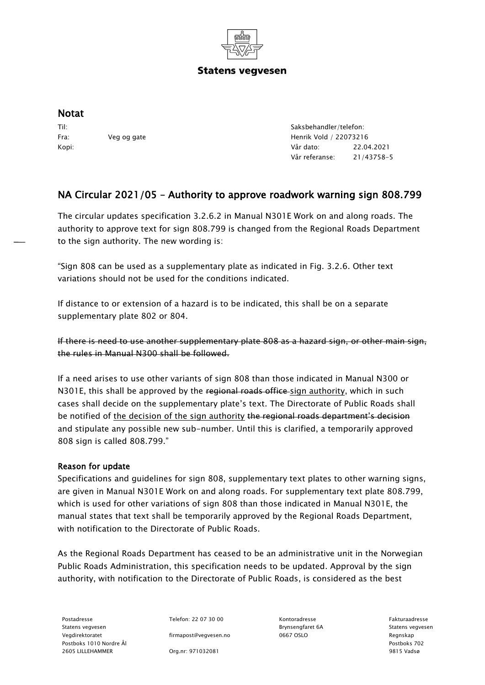

## **Statens vegvesen**

## Notat

Til: Fra: Veg og gate Kopi:

Saksbehandler/telefon: Henrik Vold / 22073216 Vår dato: 22.04.2021 Vår referanse: 21/43758-5

## NA Circular 2021/05 – Authority to approve roadwork warning sign 808.799

The circular updates specification 3.2.6.2 in Manual N301E Work on and along roads. The authority to approve text for sign 808.799 is changed from the Regional Roads Department to the sign authority. The new wording is:

"Sign 808 can be used as a supplementary plate as indicated in Fig. 3.2.6. Other text variations should not be used for the conditions indicated.

If distance to or extension of a hazard is to be indicated, this shall be on a separate supplementary plate 802 or 804.

If there is need to use another supplementary plate 808 as a hazard sign, or other main sign, the rules in Manual N300 shall be followed.

If a need arises to use other variants of sign 808 than those indicated in Manual N300 or N301E, this shall be approved by the regional roads office sign authority, which in such cases shall decide on the supplementary plate's text. The Directorate of Public Roads shall be notified of the decision of the sign authority the regional roads department's decision and stipulate any possible new sub-number. Until this is clarified, a temporarily approved 808 sign is called 808.799."

## Reason for update

Specifications and guidelines for sign 808, supplementary text plates to other warning signs, are given in Manual N301E Work on and along roads. For supplementary text plate 808.799, which is used for other variations of sign 808 than those indicated in Manual N301E, the manual states that text shall be temporarily approved by the Regional Roads Department, with notification to the Directorate of Public Roads.

As the Regional Roads Department has ceased to be an administrative unit in the Norwegian Public Roads Administration, this specification needs to be updated. Approval by the sign authority, with notification to the Directorate of Public Roads, is considered as the best

Statens vegvesen Brynsengfaret 6A Statens vegvesen Vegdirektoratet firmapost@vegvesen.no 0667 OSLO Regnskap Postboks 1010 Nordre Ål Postboks 702 2605 LILLEHAMMER Org.nr: 971032081 9815 Vadsø

Postadresse Telefon: 22 07 30 00 Kontoradresse Fakturaadresse